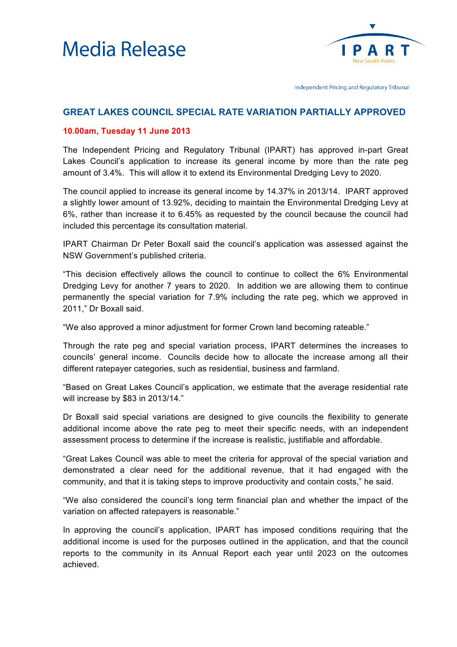



Independent Pricing and Regulatory Tribunal

## **GREAT LAKES COUNCIL SPECIAL RATE VARIATION PARTIALLY APPROVED**

## **10.00am, Tuesday 11 June 2013**

The Independent Pricing and Regulatory Tribunal (IPART) has approved in-part Great Lakes Council's application to increase its general income by more than the rate peg amount of 3.4%. This will allow it to extend its Environmental Dredging Levy to 2020.

The council applied to increase its general income by 14.37% in 2013/14. IPART approved a slightly lower amount of 13.92%, deciding to maintain the Environmental Dredging Levy at 6%, rather than increase it to 6.45% as requested by the council because the council had included this percentage its consultation material.

IPART Chairman Dr Peter Boxall said the council's application was assessed against the NSW Government's published criteria.

"This decision effectively allows the council to continue to collect the 6% Environmental Dredging Levy for another 7 years to 2020. In addition we are allowing them to continue permanently the special variation for 7.9% including the rate peg, which we approved in 2011," Dr Boxall said.

"We also approved a minor adjustment for former Crown land becoming rateable."

Through the rate peg and special variation process, IPART determines the increases to councils' general income. Councils decide how to allocate the increase among all their different ratepayer categories, such as residential, business and farmland.

"Based on Great Lakes Council's application, we estimate that the average residential rate will increase by \$83 in 2013/14."

Dr Boxall said special variations are designed to give councils the flexibility to generate additional income above the rate peg to meet their specific needs, with an independent assessment process to determine if the increase is realistic, justifiable and affordable.

"Great Lakes Council was able to meet the criteria for approval of the special variation and demonstrated a clear need for the additional revenue, that it had engaged with the community, and that it is taking steps to improve productivity and contain costs," he said.

"We also considered the council's long term financial plan and whether the impact of the variation on affected ratepayers is reasonable."

In approving the council's application, IPART has imposed conditions requiring that the additional income is used for the purposes outlined in the application, and that the council reports to the community in its Annual Report each year until 2023 on the outcomes achieved.